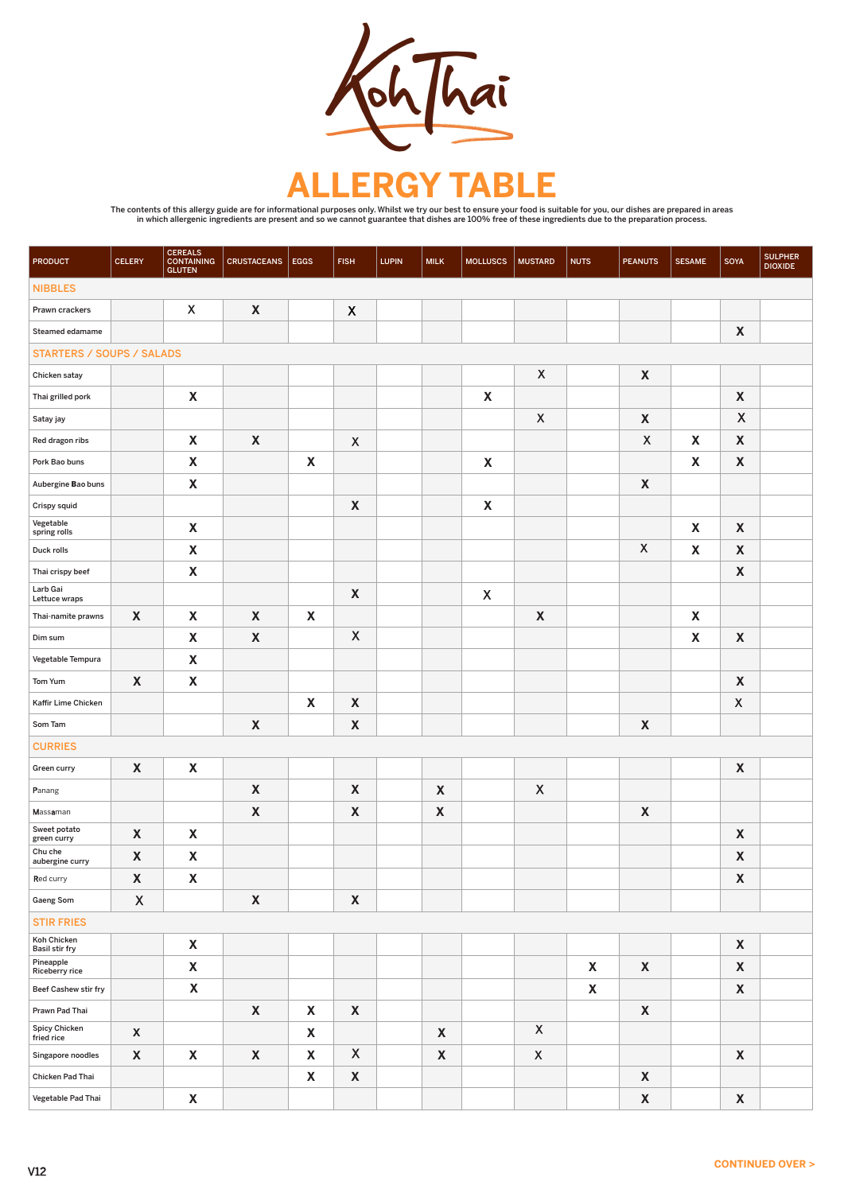

## E

The contents of this allergy guide are for informational purposes only. Whilst we try our best to ensure your food is suitable for you, our dishes are prepared in areas<br>in which allergenic ingredients are present and so we

| <b>PRODUCT</b>                   | <b>CELERY</b>    | <b>CEREALS</b><br><b>CONTAINING</b><br><b>GLUTEN</b> | <b>CRUSTACEANS</b> | EGGS | <b>FISH</b>      | <b>LUPIN</b> | <b>MILK</b>  | <b>MOLLUSCS</b>           | <b>MUSTARD</b>            | <b>NUTS</b> | <b>PEANUTS</b>   | <b>SESAME</b>             | SOYA             | <b>SULPHER</b><br><b>DIOXIDE</b> |
|----------------------------------|------------------|------------------------------------------------------|--------------------|------|------------------|--------------|--------------|---------------------------|---------------------------|-------------|------------------|---------------------------|------------------|----------------------------------|
| <b>NIBBLES</b>                   |                  |                                                      |                    |      |                  |              |              |                           |                           |             |                  |                           |                  |                                  |
| Prawn crackers                   |                  | $\boldsymbol{X}$                                     | X                  |      | $\boldsymbol{X}$ |              |              |                           |                           |             |                  |                           |                  |                                  |
| Steamed edamame                  |                  |                                                      |                    |      |                  |              |              |                           |                           |             |                  |                           | X                |                                  |
| <b>STARTERS / SOUPS / SALADS</b> |                  |                                                      |                    |      |                  |              |              |                           |                           |             |                  |                           |                  |                                  |
| Chicken satay                    |                  |                                                      |                    |      |                  |              |              |                           | $\boldsymbol{X}$          |             | X                |                           |                  |                                  |
| Thai grilled pork                |                  | $\boldsymbol{\mathsf{X}}$                            |                    |      |                  |              |              | $\boldsymbol{\mathsf{X}}$ |                           |             |                  |                           | X                |                                  |
| Satay jay                        |                  |                                                      |                    |      |                  |              |              |                           | $\boldsymbol{\mathsf{X}}$ |             | X                |                           | $\boldsymbol{X}$ |                                  |
| Red dragon ribs                  |                  | X                                                    | X                  |      | $\boldsymbol{X}$ |              |              |                           |                           |             | $\boldsymbol{X}$ | X                         | X                |                                  |
| Pork Bao buns                    |                  | X                                                    |                    | X    |                  |              |              | X                         |                           |             |                  | X                         | X                |                                  |
| Aubergine Bao buns               |                  | X                                                    |                    |      |                  |              |              |                           |                           |             | X                |                           |                  |                                  |
| Crispy squid                     |                  |                                                      |                    |      | X                |              |              | $\boldsymbol{\mathsf{X}}$ |                           |             |                  |                           |                  |                                  |
| Vegetable<br>spring rolls        |                  | X                                                    |                    |      |                  |              |              |                           |                           |             |                  | X                         | X                |                                  |
| Duck rolls                       |                  | X                                                    |                    |      |                  |              |              |                           |                           |             | $\boldsymbol{X}$ | X                         | X                |                                  |
| Thai crispy beef                 |                  | X                                                    |                    |      |                  |              |              |                           |                           |             |                  |                           | X                |                                  |
| Larb Gai<br>Lettuce wraps        |                  |                                                      |                    |      | X                |              |              | $\boldsymbol{\mathsf{X}}$ |                           |             |                  |                           |                  |                                  |
| Thai-namite prawns               | X                | X                                                    | X                  | X    |                  |              |              |                           | X                         |             |                  | X                         |                  |                                  |
| Dim sum                          |                  | $\boldsymbol{\mathsf{X}}$                            | X                  |      | $\mathsf{X}$     |              |              |                           |                           |             |                  | $\boldsymbol{\mathsf{X}}$ | $\boldsymbol{X}$ |                                  |
| Vegetable Tempura                |                  | X                                                    |                    |      |                  |              |              |                           |                           |             |                  |                           |                  |                                  |
| Tom Yum                          | X                | X                                                    |                    |      |                  |              |              |                           |                           |             |                  |                           | X                |                                  |
| Kaffir Lime Chicken              |                  |                                                      |                    | X    | X                |              |              |                           |                           |             |                  |                           | $\boldsymbol{X}$ |                                  |
| Som Tam                          |                  |                                                      | $\boldsymbol{X}$   |      | X                |              |              |                           |                           |             | $\boldsymbol{X}$ |                           |                  |                                  |
| <b>CURRIES</b>                   |                  |                                                      |                    |      |                  |              |              |                           |                           |             |                  |                           |                  |                                  |
| Green curry                      | X                | X                                                    |                    |      |                  |              |              |                           |                           |             |                  |                           | X                |                                  |
| Panang                           |                  |                                                      | X                  |      | X                |              | $\mathbf{X}$ |                           | $\mathsf{X}$              |             |                  |                           |                  |                                  |
| Massaman                         |                  |                                                      | X                  |      | X                |              | X            |                           |                           |             | X                |                           |                  |                                  |
| Sweet potato<br>green curry      | X                | X                                                    |                    |      |                  |              |              |                           |                           |             |                  |                           | X                |                                  |
| Chu che<br>aubergine curry       | X                | X                                                    |                    |      |                  |              |              |                           |                           |             |                  |                           | X                |                                  |
| Red curry                        | X                | $\boldsymbol{\mathsf{X}}$                            |                    |      |                  |              |              |                           |                           |             |                  |                           | X                |                                  |
| <b>Gaeng Som</b>                 | $\mathsf{X}$     |                                                      | X                  |      | X                |              |              |                           |                           |             |                  |                           |                  |                                  |
| <b>STIR FRIES</b>                |                  |                                                      |                    |      |                  |              |              |                           |                           |             |                  |                           |                  |                                  |
| Koh Chicken<br>Basil stir fry    |                  | X                                                    |                    |      |                  |              |              |                           |                           |             |                  |                           | X                |                                  |
| Pineapple<br>Riceberry rice      |                  | X                                                    |                    |      |                  |              |              |                           |                           | X           | X                |                           | X                |                                  |
| <b>Beef Cashew stir fry</b>      |                  | X                                                    |                    |      |                  |              |              |                           |                           | X           |                  |                           | X                |                                  |
| Prawn Pad Thai                   |                  |                                                      | X                  | X    | X                |              |              |                           |                           |             | X                |                           |                  |                                  |
| Spicy Chicken<br>fried rice      | $\boldsymbol{X}$ |                                                      |                    | X    |                  |              | X            |                           | $\boldsymbol{X}$          |             |                  |                           |                  |                                  |
| Singapore noodles                | X                | X                                                    | X                  | X    | $\mathsf{X}$     |              | X            |                           | $\boldsymbol{\mathsf{X}}$ |             |                  |                           | X                |                                  |
| Chicken Pad Thai                 |                  |                                                      |                    | X    | X                |              |              |                           |                           |             | X                |                           |                  |                                  |
| Vegetable Pad Thai               |                  | X                                                    |                    |      |                  |              |              |                           |                           |             | X                |                           | X                |                                  |